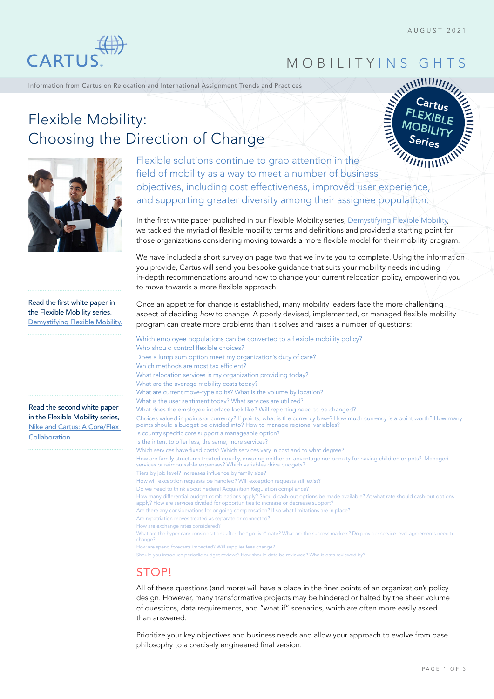

## MOBILITY INSIGHTS

Information from Cartus on Relocation and International Assignment Trends and Practices

# Cartus FLEXIBLE **MOBILITY** Series





Flexible solutions continue to grab attention in the field of mobility as a way to meet a number of business objectives, including cost effectiveness, improved user experience, and supporting greater diversity among their assignee population.

In the first white paper published in our Flexible Mobility series, [Demystifying Flexible Mobility,](https://cartus.com/files/3616/1971/3402/Demystifying_Flexible_Mobility_Dispelling_Myths-2021-04.pdf) we tackled the myriad of flexible mobility terms and definitions and provided a starting point for those organizations considering moving towards a more flexible model for their mobility program.

We have included a short survey on page two that we invite you to complete. Using the information you provide, Cartus will send you bespoke guidance that suits your mobility needs including in-depth recommendations around how to change your current relocation policy, empowering you to move towards a more flexible approach.

Read the first white paper in the Flexible Mobility series, [Demystifying Flexible Mobility](https://cartus.com/files/3616/1971/3402/Demystifying_Flexible_Mobility_Dispelling_Myths-2021-04.pdf).

Read the second white paper in the Flexible Mobility series, [Nike and Cartus: A Core/Flex](https://cartus.com/files/4516/2160/1715/Nike_and_Cartus-A_Core-Flex_Collaboration-2021-05.pdf)  [Collaboration.](https://cartus.com/files/4516/2160/1715/Nike_and_Cartus-A_Core-Flex_Collaboration-2021-05.pdf)

Once an appetite for change is established, many mobility leaders face the more challenging aspect of deciding *how* to change. A poorly devised, implemented, or managed flexible mobility program can create more problems than it solves and raises a number of questions:

Which employee populations can be converted to a flexible mobility policy? Who should control flexible choices? Does a lump sum option meet my organization's duty of care? Which methods are most tax efficient? What relocation services is my organization providing today? What are the average mobility costs today? What are current move-type splits? What is the volume by location? What is the user sentiment today? What services are utilized? What does the employee interface look like? Will reporting need to be changed? Choices valued in points or currency? If points, what is the currency base? How much currency is a point worth? How many points should a budget be divided into? How to manage regional variables? Is country specific core support a manageable option? Is the intent to offer less, the same, more services? Which services have fixed costs? Which services vary in cost and to what degree? How are family structures treated equally, ensuring neither an advantage nor penalty for having children or pets? Managed services or reimbursable expenses? Which variables drive budgets? Tiers by job level? Increases influence by family size? How will exception requests be handled? Will exception requests still exist? Do we need to think about Federal Acquisition Regulation compliance? How many differential budget combinations apply? Should cash-out options be made available? At what rate should cash-out options apply? How are services divided for opportunities to increase or decrease support? Are there any considerations for ongoing compensation? If so what limitations are in place? Are repatriation moves treated as separate or connected? How are exchange rates considered? What are the hyper-care considerations after the "go-live" date? What are the success markers? Do provider service level agreements need to change? How are spend forecasts impacted? Will supplier fees change?

Should you introduce periodic budget reviews? How should data be reviewed? Who is data reviewed by?

## **STOP!**

All of these questions (and more) will have a place in the finer points of an organization's policy design. However, many transformative projects may be hindered or halted by the sheer volume of questions, data requirements, and "what if" scenarios, which are often more easily asked than answered.

Prioritize your key objectives and business needs and allow your approach to evolve from base philosophy to a precisely engineered final version.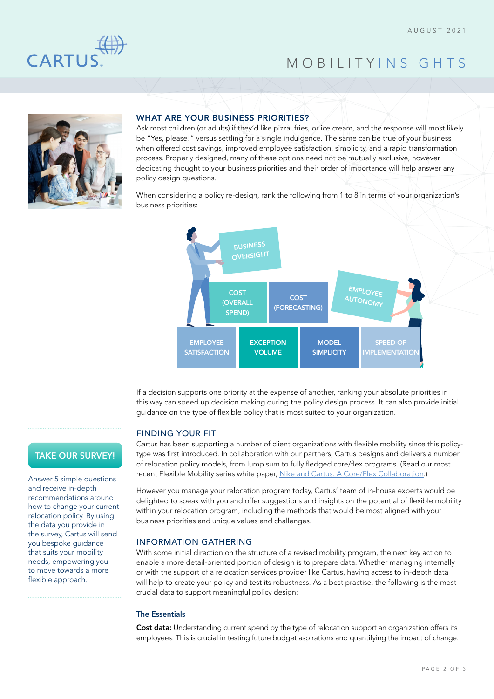

## MOBILITY INSIGHTS



## WHAT ARE YOUR BUSINESS PRIORITIES?

Ask most children (or adults) if they'd like pizza, fries, or ice cream, and the response will most likely be "Yes, please!" versus settling for a single indulgence. The same can be true of your business when offered cost savings, improved employee satisfaction, simplicity, and a rapid transformation process. Properly designed, many of these options need not be mutually exclusive, however dedicating thought to your business priorities and their order of importance will help answer any policy design questions.

When considering a policy re-design, rank the following from 1 to 8 in terms of your organization's business priorities:



If a decision supports one priority at the expense of another, ranking your absolute priorities in this way can speed up decision making during the policy design process. It can also provide initial guidance on the type of flexible policy that is most suited to your organization.

## FINDING YOUR FIT

Cartus has been supporting a number of client organizations with flexible mobility since this policytype was first introduced. In collaboration with our partners, Cartus designs and delivers a number of relocation policy models, from lump sum to fully fledged core/flex programs. (Read our most recent Flexible Mobility series white paper, [Nike and Cartus: A Core/Flex Collaboration.](https://cartus.com/files/4516/2160/1715/Nike_and_Cartus-A_Core-Flex_Collaboration-2021-05.pdf))

However you manage your relocation program today, Cartus' team of in-house experts would be delighted to speak with you and offer suggestions and insights on the potential of flexible mobility within your relocation program, including the methods that would be most aligned with your business priorities and unique values and challenges.

### INFORMATION GATHERING

With some initial direction on the structure of a revised mobility program, the next key action to enable a more detail-oriented portion of design is to prepare data. Whether managing internally or with the support of a relocation services provider like Cartus, having access to in-depth data will help to create your policy and test its robustness. As a best practise, the following is the most crucial data to support meaningful policy design:

## The Essentials

Cost data: Understanding current spend by the type of relocation support an organization offers its employees. This is crucial in testing future budget aspirations and quantifying the impact of change.

## [TAKE OUR SURVEY!](https://forms.office.com/r/NFSfg3ufAE)

Answer 5 simple questions and receive in-depth recommendations around how to change your current relocation policy. By using the data you provide in the survey, Cartus will send you bespoke guidance that suits your mobility needs, empowering you to move towards a more flexible approach.